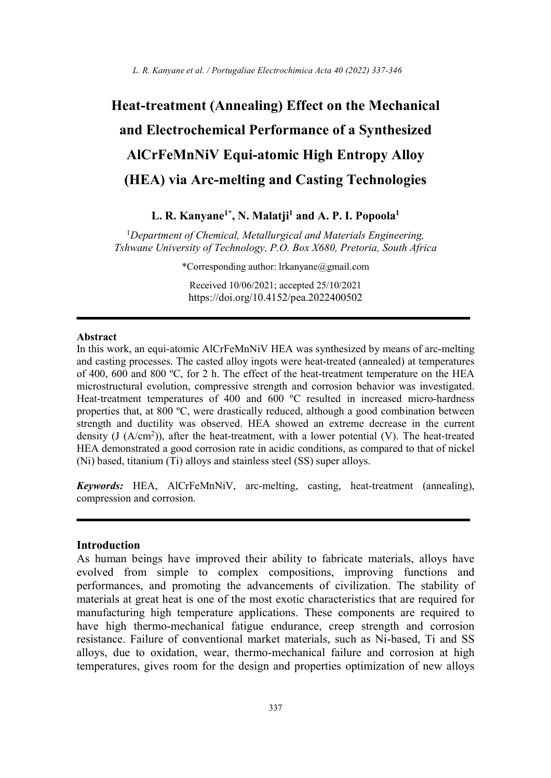# Heat-treatment (Annealing) Effect on the Mechanical and Electrochemical Performance of a Synthesized AlCrFeMnNiV Equi-atomic High Entropy Alloy (HEA) via Arc-melting and Casting Technologies

# L. R. Kanyane<sup>1\*</sup>, N. Malatji<sup>1</sup> and A. P. I. Popoola<sup>1</sup>

<sup>1</sup>Department of Chemical, Metallurgical and Materials Engineering, Tshwane University of Technology, P.O. Box X680, Pretoria, South Africa

\*Corresponding author: lrkanyane@gmail.com

Received 10/06/2021; accepted 25/10/2021 https://doi.org/10.4152/pea.2022400502

#### Abstract

In this work, an equi-atomic AlCrFeMnNiV HEA was synthesized by means of arc-melting and casting processes. The casted alloy ingots were heat-treated (annealed) at temperatures of 400, 600 and 800 ºC, for 2 h. The effect of the heat-treatment temperature on the HEA microstructural evolution, compressive strength and corrosion behavior was investigated. Heat-treatment temperatures of 400 and 600 ºC resulted in increased micro-hardness properties that, at 800 ºC, were drastically reduced, although a good combination between strength and ductility was observed. HEA showed an extreme decrease in the current density (J  $(A/cm<sup>2</sup>)$ ), after the heat-treatment, with a lower potential (V). The heat-treated HEA demonstrated a good corrosion rate in acidic conditions, as compared to that of nickel (Ni) based, titanium (Ti) alloys and stainless steel (SS) super alloys.

Keywords: HEA, AlCrFeMnNiV, arc-melting, casting, heat-treatment (annealing), compression and corrosion.

### Introduction

As human beings have improved their ability to fabricate materials, alloys have evolved from simple to complex compositions, improving functions and performances, and promoting the advancements of civilization. The stability of materials at great heat is one of the most exotic characteristics that are required for manufacturing high temperature applications. These components are required to have high thermo-mechanical fatigue endurance, creep strength and corrosion resistance. Failure of conventional market materials, such as Ni-based, Ti and SS alloys, due to oxidation, wear, thermo-mechanical failure and corrosion at high temperatures, gives room for the design and properties optimization of new alloys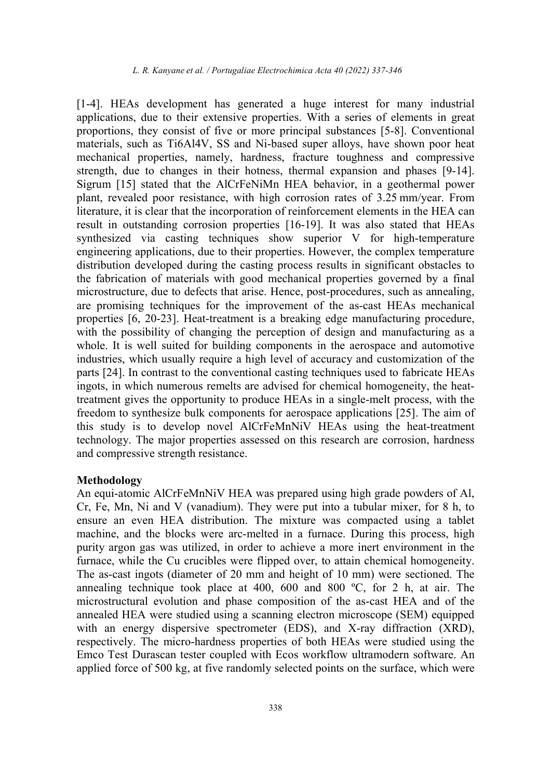[1-4]. HEAs development has generated a huge interest for many industrial applications, due to their extensive properties. With a series of elements in great proportions, they consist of five or more principal substances [5-8]. Conventional materials, such as Ti6Al4V, SS and Ni-based super alloys, have shown poor heat mechanical properties, namely, hardness, fracture toughness and compressive strength, due to changes in their hotness, thermal expansion and phases [9-14]. Sigrum [15] stated that the AlCrFeNiMn HEA behavior, in a geothermal power plant, revealed poor resistance, with high corrosion rates of 3.25 mm/year. From literature, it is clear that the incorporation of reinforcement elements in the HEA can result in outstanding corrosion properties [16-19]. It was also stated that HEAs synthesized via casting techniques show superior V for high-temperature engineering applications, due to their properties. However, the complex temperature distribution developed during the casting process results in significant obstacles to the fabrication of materials with good mechanical properties governed by a final microstructure, due to defects that arise. Hence, post-procedures, such as annealing, are promising techniques for the improvement of the as-cast HEAs mechanical properties [6, 20-23]. Heat-treatment is a breaking edge manufacturing procedure, with the possibility of changing the perception of design and manufacturing as a whole. It is well suited for building components in the aerospace and automotive industries, which usually require a high level of accuracy and customization of the parts [24]. In contrast to the conventional casting techniques used to fabricate HEAs ingots, in which numerous remelts are advised for chemical homogeneity, the heattreatment gives the opportunity to produce HEAs in a single-melt process, with the freedom to synthesize bulk components for aerospace applications [25]. The aim of this study is to develop novel AlCrFeMnNiV HEAs using the heat-treatment technology. The major properties assessed on this research are corrosion, hardness and compressive strength resistance.

## Methodology

An equi-atomic AlCrFeMnNiV HEA was prepared using high grade powders of Al, Cr, Fe, Mn, Ni and V (vanadium). They were put into a tubular mixer, for 8 h, to ensure an even HEA distribution. The mixture was compacted using a tablet machine, and the blocks were arc-melted in a furnace. During this process, high purity argon gas was utilized, in order to achieve a more inert environment in the furnace, while the Cu crucibles were flipped over, to attain chemical homogeneity. The as-cast ingots (diameter of 20 mm and height of 10 mm) were sectioned. The annealing technique took place at 400, 600 and 800 ºC, for 2 h, at air. The microstructural evolution and phase composition of the as-cast HEA and of the annealed HEA were studied using a scanning electron microscope (SEM) equipped with an energy dispersive spectrometer (EDS), and X-ray diffraction (XRD), respectively. The micro-hardness properties of both HEAs were studied using the Emco Test Durascan tester coupled with Ecos workflow ultramodern software. An applied force of 500 kg, at five randomly selected points on the surface, which were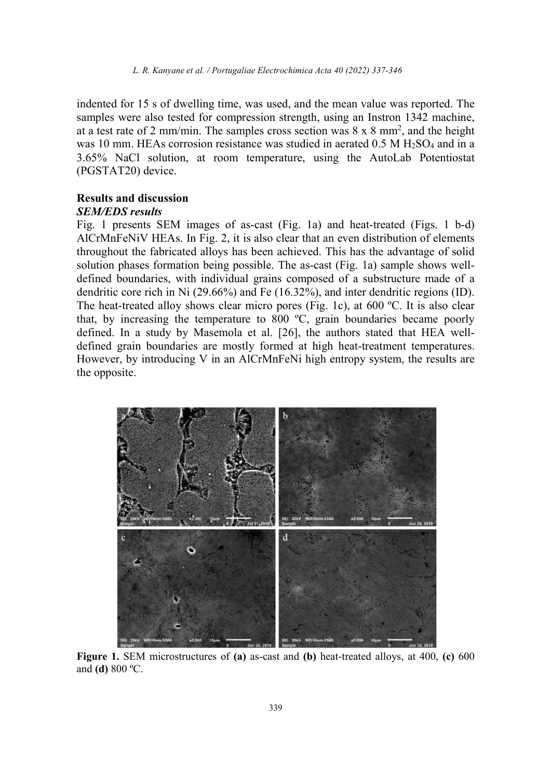indented for 15 s of dwelling time, was used, and the mean value was reported. The samples were also tested for compression strength, using an Instron 1342 machine, at a test rate of 2 mm/min. The samples cross section was  $8 \times 8$  mm<sup>2</sup>, and the height was 10 mm. HEAs corrosion resistance was studied in aerated  $0.5 M H<sub>2</sub>SO<sub>4</sub>$  and in a 3.65% NaCl solution, at room temperature, using the AutoLab Potentiostat (PGSTAT20) device.

## Results and discussion SEM/EDS results

Fig. 1 presents SEM images of as-cast (Fig. 1a) and heat-treated (Figs. 1 b-d) AlCrMnFeNiV HEAs. In Fig. 2, it is also clear that an even distribution of elements throughout the fabricated alloys has been achieved. This has the advantage of solid solution phases formation being possible. The as-cast (Fig. 1a) sample shows welldefined boundaries, with individual grains composed of a substructure made of a dendritic core rich in Ni (29.66%) and Fe (16.32%), and inter dendritic regions (ID). The heat-treated alloy shows clear micro pores (Fig. 1c), at 600 ºC. It is also clear that, by increasing the temperature to 800 ºC, grain boundaries became poorly defined. In a study by Masemola et al. [26], the authors stated that HEA welldefined grain boundaries are mostly formed at high heat-treatment temperatures. However, by introducing V in an AlCrMnFeNi high entropy system, the results are the opposite.



Figure 1. SEM microstructures of (a) as-cast and (b) heat-treated alloys, at 400, (c) 600 and (d) 800 ºC.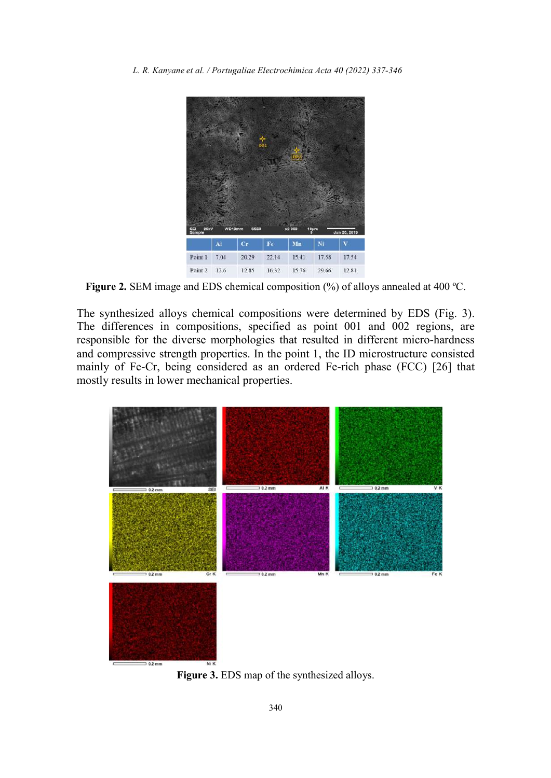

Figure 2. SEM image and EDS chemical composition (%) of alloys annealed at 400 ºC.

The synthesized alloys chemical compositions were determined by EDS (Fig. 3). The differences in compositions, specified as point 001 and 002 regions, are responsible for the diverse morphologies that resulted in different micro-hardness and compressive strength properties. In the point 1, the ID microstructure consisted mainly of Fe-Cr, being considered as an ordered Fe-rich phase (FCC) [26] that mostly results in lower mechanical properties.



Figure 3. EDS map of the synthesized alloys.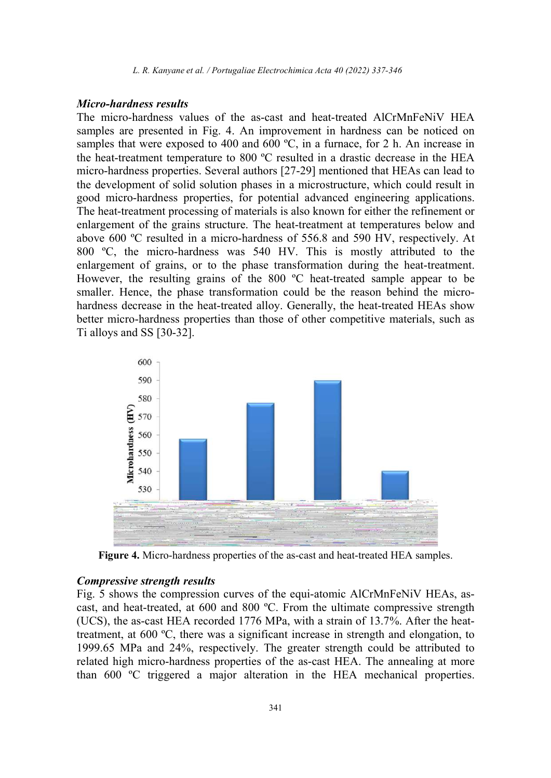#### Micro-hardness results

The micro-hardness values of the as-cast and heat-treated AlCrMnFeNiV HEA samples are presented in Fig. 4. An improvement in hardness can be noticed on samples that were exposed to 400 and 600 °C, in a furnace, for 2 h. An increase in the heat-treatment temperature to 800 ºC resulted in a drastic decrease in the HEA micro-hardness properties. Several authors [27-29] mentioned that HEAs can lead to the development of solid solution phases in a microstructure, which could result in good micro-hardness properties, for potential advanced engineering applications. The heat-treatment processing of materials is also known for either the refinement or enlargement of the grains structure. The heat-treatment at temperatures below and above 600 ºC resulted in a micro-hardness of 556.8 and 590 HV, respectively. At 800 ºC, the micro-hardness was 540 HV. This is mostly attributed to the enlargement of grains, or to the phase transformation during the heat-treatment. However, the resulting grains of the 800 ºC heat-treated sample appear to be smaller. Hence, the phase transformation could be the reason behind the microhardness decrease in the heat-treated alloy. Generally, the heat-treated HEAs show better micro-hardness properties than those of other competitive materials, such as Ti alloys and SS [30-32].



Figure 4. Micro-hardness properties of the as-cast and heat-treated HEA samples.

#### Compressive strength results

Fig. 5 shows the compression curves of the equi-atomic AlCrMnFeNiV HEAs, ascast, and heat-treated, at 600 and 800 ºC. From the ultimate compressive strength (UCS), the as-cast HEA recorded 1776 MPa, with a strain of 13.7%. After the heattreatment, at 600 ºC, there was a significant increase in strength and elongation, to 1999.65 MPa and 24%, respectively. The greater strength could be attributed to related high micro-hardness properties of the as-cast HEA. The annealing at more than 600 ºC triggered a major alteration in the HEA mechanical properties.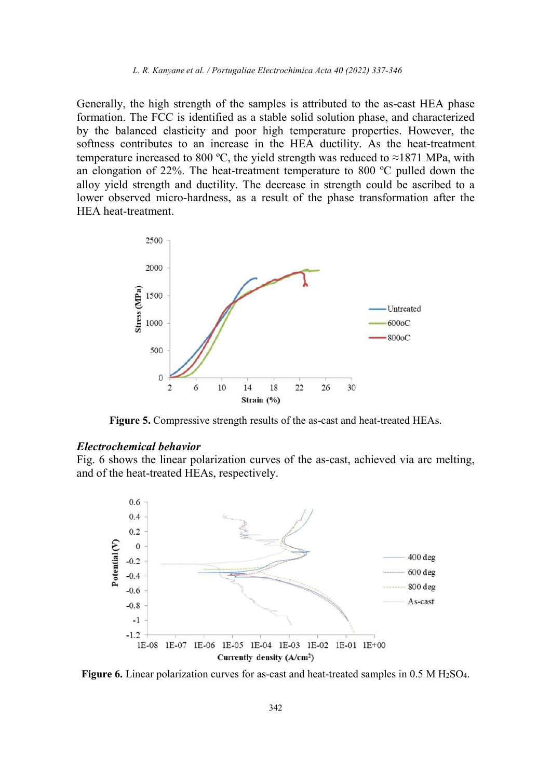Generally, the high strength of the samples is attributed to the as-cast HEA phase formation. The FCC is identified as a stable solid solution phase, and characterized by the balanced elasticity and poor high temperature properties. However, the softness contributes to an increase in the HEA ductility. As the heat-treatment temperature increased to 800 °C, the yield strength was reduced to ≈1871 MPa, with an elongation of 22%. The heat-treatment temperature to 800 ºC pulled down the alloy yield strength and ductility. The decrease in strength could be ascribed to a lower observed micro-hardness, as a result of the phase transformation after the HEA heat-treatment.



Figure 5. Compressive strength results of the as-cast and heat-treated HEAs.

#### Electrochemical behavior

Fig. 6 shows the linear polarization curves of the as-cast, achieved via arc melting, and of the heat-treated HEAs, respectively.



Figure 6. Linear polarization curves for as-cast and heat-treated samples in 0.5 M H<sub>2</sub>SO<sub>4</sub>.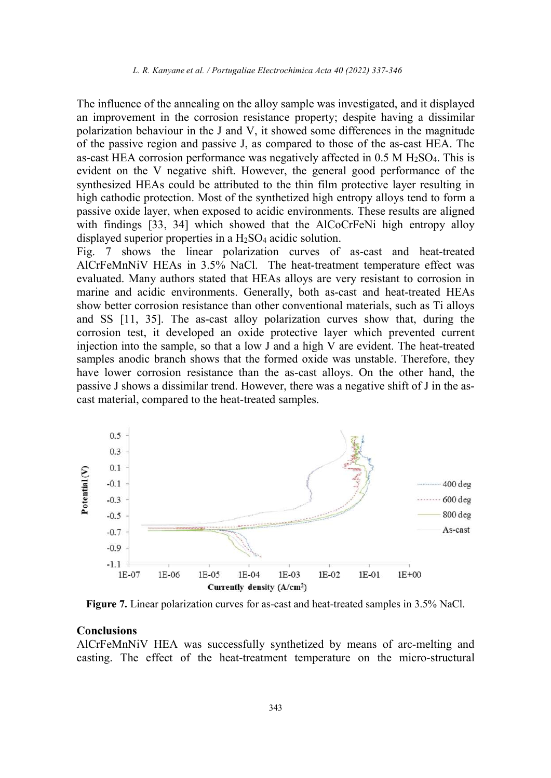The influence of the annealing on the alloy sample was investigated, and it displayed an improvement in the corrosion resistance property; despite having a dissimilar polarization behaviour in the J and V, it showed some differences in the magnitude of the passive region and passive J, as compared to those of the as-cast HEA. The as-cast HEA corrosion performance was negatively affected in  $0.5$  M  $H<sub>2</sub>SO<sub>4</sub>$ . This is evident on the V negative shift. However, the general good performance of the synthesized HEAs could be attributed to the thin film protective layer resulting in high cathodic protection. Most of the synthetized high entropy alloys tend to form a passive oxide layer, when exposed to acidic environments. These results are aligned with findings [33, 34] which showed that the AlCoCrFeNi high entropy alloy displayed superior properties in a H<sub>2</sub>SO<sub>4</sub> acidic solution.

Fig. 7 shows the linear polarization curves of as-cast and heat-treated AlCrFeMnNiV HEAs in 3.5% NaCl. The heat-treatment temperature effect was evaluated. Many authors stated that HEAs alloys are very resistant to corrosion in marine and acidic environments. Generally, both as-cast and heat-treated HEAs show better corrosion resistance than other conventional materials, such as Ti alloys and SS [11, 35]. The as-cast alloy polarization curves show that, during the corrosion test, it developed an oxide protective layer which prevented current injection into the sample, so that a low J and a high V are evident. The heat-treated samples anodic branch shows that the formed oxide was unstable. Therefore, they have lower corrosion resistance than the as-cast alloys. On the other hand, the passive J shows a dissimilar trend. However, there was a negative shift of J in the ascast material, compared to the heat-treated samples.



Figure 7. Linear polarization curves for as-cast and heat-treated samples in 3.5% NaCl.

#### Conclusions

AlCrFeMnNiV HEA was successfully synthetized by means of arc-melting and casting. The effect of the heat-treatment temperature on the micro-structural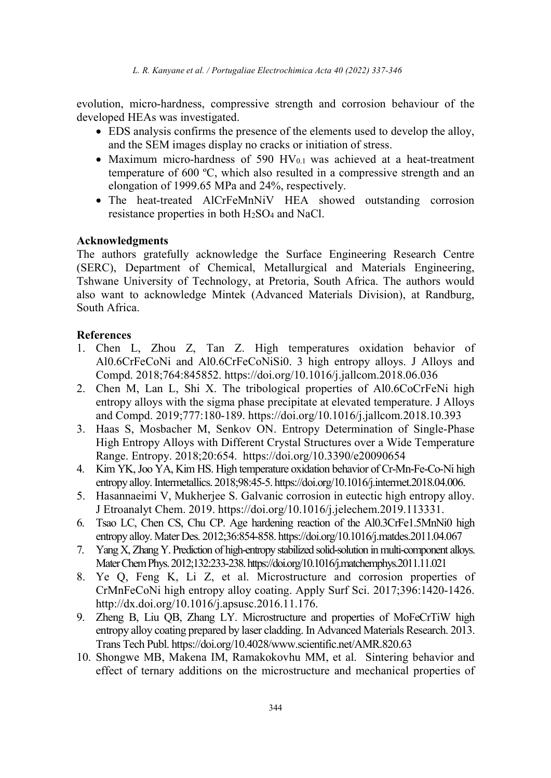L. R. Kanyane et al. / Portugaliae Electrochimica Acta 40 (2022) 337-346

evolution, micro-hardness, compressive strength and corrosion behaviour of the developed HEAs was investigated.

- EDS analysis confirms the presence of the elements used to develop the alloy, and the SEM images display no cracks or initiation of stress.
- Maximum micro-hardness of 590 HV $_{0.1}$  was achieved at a heat-treatment temperature of 600 ºC, which also resulted in a compressive strength and an elongation of 1999.65 MPa and 24%, respectively.
- The heat-treated AlCrFeMnNiV HEA showed outstanding corrosion resistance properties in both H2SO4 and NaCl.

# Acknowledgments

The authors gratefully acknowledge the Surface Engineering Research Centre (SERC), Department of Chemical, Metallurgical and Materials Engineering, Tshwane University of Technology, at Pretoria, South Africa. The authors would also want to acknowledge Mintek (Advanced Materials Division), at Randburg, South Africa.

# References

- 1. Chen L, Zhou Z, Tan Z. High temperatures oxidation behavior of Al0.6CrFeCoNi and Al0.6CrFeCoNiSi0. 3 high entropy alloys. J Alloys and Compd. 2018;764:845852. https://doi.org/10.1016/j.jallcom.2018.06.036
- 2. Chen M, Lan L, Shi X. The tribological properties of Al0.6CoCrFeNi high entropy alloys with the sigma phase precipitate at elevated temperature. J Alloys and Compd. 2019;777:180-189. https://doi.org/10.1016/j.jallcom.2018.10.393
- 3. Haas S, Mosbacher M, Senkov ON. Entropy Determination of Single-Phase High Entropy Alloys with Different Crystal Structures over a Wide Temperature Range. Entropy. 2018;20:654. https://doi.org/10.3390/e20090654
- 4. Kim YK, Joo YA, Kim HS. High temperature oxidation behavior of Cr-Mn-Fe-Co-Ni high entropy alloy. Intermetallics. 2018;98:45-5. https://doi.org/10.1016/j.intermet.2018.04.006.
- 5. Hasannaeimi V, Mukherjee S. Galvanic corrosion in eutectic high entropy alloy. J Etroanalyt Chem. 2019. https://doi.org/10.1016/j.jelechem.2019.113331.
- 6. Tsao LC, Chen CS, Chu CP. Age hardening reaction of the Al0.3CrFe1.5MnNi0 high entropy alloy. Mater Des. 2012;36:854-858. https://doi.org/10.1016/j.matdes.2011.04.067
- 7. Yang X, Zhang Y. Prediction of high-entropy stabilized solid-solution in multi-component alloys. Mater Chem Phys. 2012;132:233-238. https://doi.org/10.1016/j.matchemphys.2011.11.021
- 8. Ye Q, Feng K, Li Z, et al. Microstructure and corrosion properties of CrMnFeCoNi high entropy alloy coating. Apply Surf Sci. 2017;396:1420-1426. http://dx.doi.org/10.1016/j.apsusc.2016.11.176.
- 9. Zheng B, Liu QB, Zhang LY. Microstructure and properties of MoFeCrTiW high entropy alloy coating prepared by laser cladding. In Advanced Materials Research. 2013. Trans Tech Publ. https://doi.org/10.4028/www.scientific.net/AMR.820.63
- 10. Shongwe MB, Makena IM, Ramakokovhu MM, et al. Sintering behavior and effect of ternary additions on the microstructure and mechanical properties of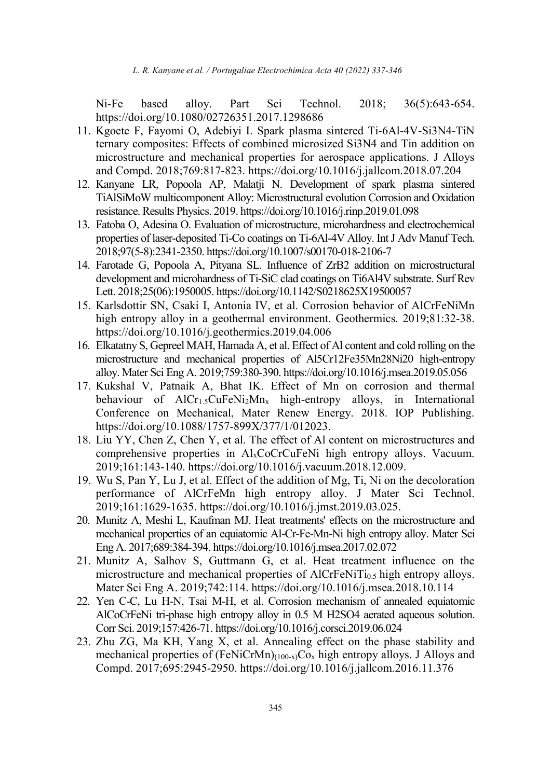Ni-Fe based alloy. Part Sci Technol. 2018; 36(5):643-654. https://doi.org/10.1080/02726351.2017.1298686

- 11. Kgoete F, Fayomi O, Adebiyi I. Spark plasma sintered Ti-6Al-4V-Si3N4-TiN ternary composites: Effects of combined microsized Si3N4 and Tin addition on microstructure and mechanical properties for aerospace applications. J Alloys and Compd. 2018;769:817-823. https://doi.org/10.1016/j.jallcom.2018.07.204
- 12. Kanyane LR, Popoola AP, Malatji N. Development of spark plasma sintered TiAlSiMoW multicomponent Alloy: Microstructural evolution Corrosion and Oxidation resistance. Results Physics. 2019. https://doi.org/10.1016/j.rinp.2019.01.098
- 13. Fatoba O, Adesina O. Evaluation of microstructure, microhardness and electrochemical properties of laser-deposited Ti-Co coatings on Ti-6Al-4V Alloy. Int J Adv Manuf Tech. 2018;97(5-8):2341-2350. https://doi.org/10.1007/s00170-018-2106-7
- 14. Farotade G, Popoola A, Pityana SL. Influence of ZrB2 addition on microstructural development and microhardness of Ti-SiC clad coatings on Ti6Al4V substrate. Surf Rev Lett. 2018;25(06):1950005. https://doi.org/10.1142/S0218625X19500057
- 15. Karlsdottir SN, Csaki I, Antonia IV, et al. Corrosion behavior of AlCrFeNiMn high entropy alloy in a geothermal environment. Geothermics. 2019;81:32-38. https://doi.org/10.1016/j.geothermics.2019.04.006
- 16. Elkatatny S, Gepreel MAH, Hamada A, et al. Effect of Al content and cold rolling on the microstructure and mechanical properties of Al5Cr12Fe35Mn28Ni20 high-entropy alloy. Mater Sci Eng A. 2019;759:380-390. https://doi.org/10.1016/j.msea.2019.05.056
- 17. Kukshal V, Patnaik A, Bhat IK. Effect of Mn on corrosion and thermal behaviour of  $AICr_{1.5}CuFeNi<sub>2</sub>Mn<sub>x</sub>$  high-entropy alloys, in International Conference on Mechanical, Mater Renew Energy. 2018. IOP Publishing. https://doi.org/10.1088/1757-899X/377/1/012023.
- 18. Liu YY, Chen Z, Chen Y, et al. The effect of Al content on microstructures and comprehensive properties in AlxCoCrCuFeNi high entropy alloys. Vacuum. 2019;161:143-140. https://doi.org/10.1016/j.vacuum.2018.12.009.
- 19. Wu S, Pan Y, Lu J, et al. Effect of the addition of Mg, Ti, Ni on the decoloration performance of AlCrFeMn high entropy alloy. J Mater Sci Technol. 2019;161:1629-1635. https://doi.org/10.1016/j.jmst.2019.03.025.
- 20. Munitz A, Meshi L, Kaufman MJ. Heat treatments' effects on the microstructure and mechanical properties of an equiatomic Al-Cr-Fe-Mn-Ni high entropy alloy. Mater Sci Eng A. 2017;689:384-394. https://doi.org/10.1016/j.msea.2017.02.072
- 21. Munitz A, Salhov S, Guttmann G, et al. Heat treatment influence on the microstructure and mechanical properties of  $AICrFeNiTi<sub>0.5</sub> high entropy alloys.$ Mater Sci Eng A. 2019;742:114. https://doi.org/10.1016/j.msea.2018.10.114
- 22. Yen C-C, Lu H-N, Tsai M-H, et al. Corrosion mechanism of annealed equiatomic AlCoCrFeNi tri-phase high entropy alloy in 0.5 M H2SO4 aerated aqueous solution. Corr Sci. 2019;157:426-71. https://doi.org/10.1016/j.corsci.2019.06.024
- 23. Zhu ZG, Ma KH, Yang X, et al. Annealing effect on the phase stability and mechanical properties of  $(FeNiCrMn)_{(100-x)}Co_x$  high entropy alloys. J Alloys and Compd. 2017;695:2945-2950. https://doi.org/10.1016/j.jallcom.2016.11.376